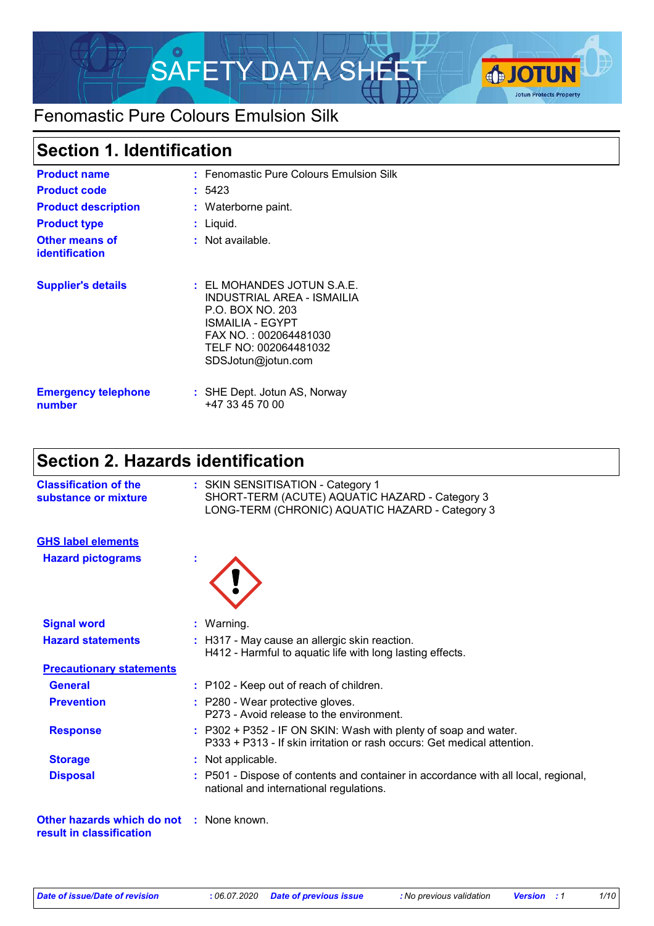

## Fenomastic Pure Colours Emulsion Silk

### **Section 1. Identification**

| <b>Product name</b><br><b>Product code</b><br><b>Product description</b><br><b>Product type</b><br><b>Other means of</b><br><b>identification</b> | : Fenomastic Pure Colours Emulsion Silk<br>: 5423<br>: Waterborne paint.<br>: Liquid.<br>$:$ Not available.                                                                  |
|---------------------------------------------------------------------------------------------------------------------------------------------------|------------------------------------------------------------------------------------------------------------------------------------------------------------------------------|
| <b>Supplier's details</b>                                                                                                                         | $\pm$ EL MOHANDES JOTUN S.A.E.<br>INDUSTRIAL AREA - ISMAILIA<br>P.O. BOX NO. 203<br>ISMAILIA - EGYPT<br>FAX NO.: 002064481030<br>TELF NO: 002064481032<br>SDSJotun@jotun.com |
| <b>Emergency telephone</b><br>number                                                                                                              | : SHE Dept. Jotun AS, Norway<br>+47 33 45 70 00                                                                                                                              |

## **Section 2. Hazards identification**

| <b>Classification of the</b><br>substance or mixture                        | : SKIN SENSITISATION - Category 1<br>SHORT-TERM (ACUTE) AQUATIC HAZARD - Category 3<br>LONG-TERM (CHRONIC) AQUATIC HAZARD - Category 3       |
|-----------------------------------------------------------------------------|----------------------------------------------------------------------------------------------------------------------------------------------|
| <b>GHS label elements</b>                                                   |                                                                                                                                              |
| <b>Hazard pictograms</b>                                                    |                                                                                                                                              |
| <b>Signal word</b>                                                          | : Warning.                                                                                                                                   |
| <b>Hazard statements</b>                                                    | : H317 - May cause an allergic skin reaction.<br>H412 - Harmful to aquatic life with long lasting effects.                                   |
| <b>Precautionary statements</b>                                             |                                                                                                                                              |
| <b>General</b>                                                              | : P102 - Keep out of reach of children.                                                                                                      |
| <b>Prevention</b>                                                           | : P280 - Wear protective gloves.<br>P273 - Avoid release to the environment.                                                                 |
| <b>Response</b>                                                             | $: P302 + P352 - IF ON SKIN: Wash with plenty of soap and water.$<br>P333 + P313 - If skin irritation or rash occurs: Get medical attention. |
| <b>Storage</b>                                                              | : Not applicable.                                                                                                                            |
| <b>Disposal</b>                                                             | : P501 - Dispose of contents and container in accordance with all local, regional,<br>national and international regulations.                |
| <b>Other hazards which do not : None known.</b><br>result in classification |                                                                                                                                              |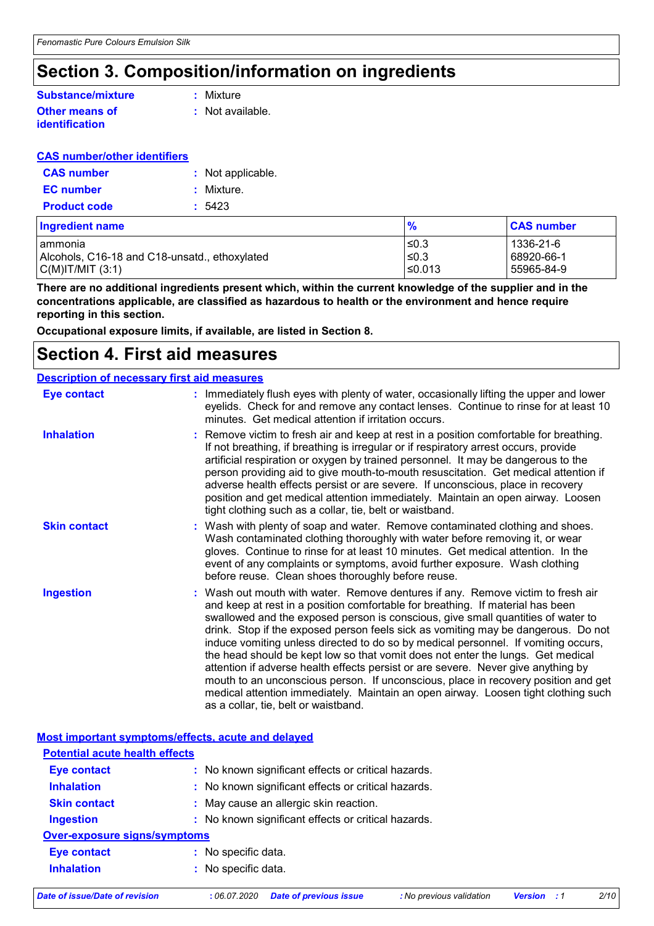### **Section 3. Composition/information on ingredients**

#### **Other means of Substance/mixture**

**identification**

**:** Mixture

**:** Not available.

#### **CAS number/other identifiers**

| <b>CAS number</b>   | : Not applicable. |
|---------------------|-------------------|
| <b>EC</b> number    | : Mixture.        |
| <b>Product code</b> | : 5423            |

| Ingredient name                               | $\frac{9}{6}$ | <b>CAS number</b> |
|-----------------------------------------------|---------------|-------------------|
| lammonia                                      | l≤0.3         | 1336-21-6         |
| Alcohols, C16-18 and C18-unsatd., ethoxylated | 50.3          | 68920-66-1        |
| $ C(M) T/MIT$ (3:1)                           | l≤0.013       | 55965-84-9        |

**There are no additional ingredients present which, within the current knowledge of the supplier and in the concentrations applicable, are classified as hazardous to health or the environment and hence require reporting in this section.**

**Occupational exposure limits, if available, are listed in Section 8.**

### **Section 4. First aid measures**

#### Wash out mouth with water. Remove dentures if any. Remove victim to fresh air and keep at rest in a position comfortable for breathing. If material has been swallowed and the exposed person is conscious, give small quantities of water to drink. Stop if the exposed person feels sick as vomiting may be dangerous. Do not induce vomiting unless directed to do so by medical personnel. If vomiting occurs, the head should be kept low so that vomit does not enter the lungs. Get medical attention if adverse health effects persist or are severe. Never give anything by mouth to an unconscious person. If unconscious, place in recovery position and get medical attention immediately. Maintain an open airway. Loosen tight clothing such as a collar, tie, belt or waistband. : Immediately flush eyes with plenty of water, occasionally lifting the upper and lower eyelids. Check for and remove any contact lenses. Continue to rinse for at least 10 minutes. Get medical attention if irritation occurs. Wash with plenty of soap and water. Remove contaminated clothing and shoes. **:** Wash contaminated clothing thoroughly with water before removing it, or wear gloves. Continue to rinse for at least 10 minutes. Get medical attention. In the event of any complaints or symptoms, avoid further exposure. Wash clothing before reuse. Clean shoes thoroughly before reuse. Remove victim to fresh air and keep at rest in a position comfortable for breathing. **:** If not breathing, if breathing is irregular or if respiratory arrest occurs, provide artificial respiration or oxygen by trained personnel. It may be dangerous to the person providing aid to give mouth-to-mouth resuscitation. Get medical attention if adverse health effects persist or are severe. If unconscious, place in recovery position and get medical attention immediately. Maintain an open airway. Loosen tight clothing such as a collar, tie, belt or waistband. **Eye contact Skin contact Inhalation Ingestion : Description of necessary first aid measures**

|                                       | Most important symptoms/effects, acute and delayed  |
|---------------------------------------|-----------------------------------------------------|
| <b>Potential acute health effects</b> |                                                     |
| <b>Eye contact</b>                    | : No known significant effects or critical hazards. |
| <b>Inhalation</b>                     | : No known significant effects or critical hazards. |
| <b>Skin contact</b>                   | : May cause an allergic skin reaction.              |
| <b>Ingestion</b>                      | : No known significant effects or critical hazards. |
| <b>Over-exposure signs/symptoms</b>   |                                                     |
| <b>Eye contact</b>                    | : No specific data.                                 |
| <b>Inhalation</b>                     | : No specific data.                                 |
|                                       |                                                     |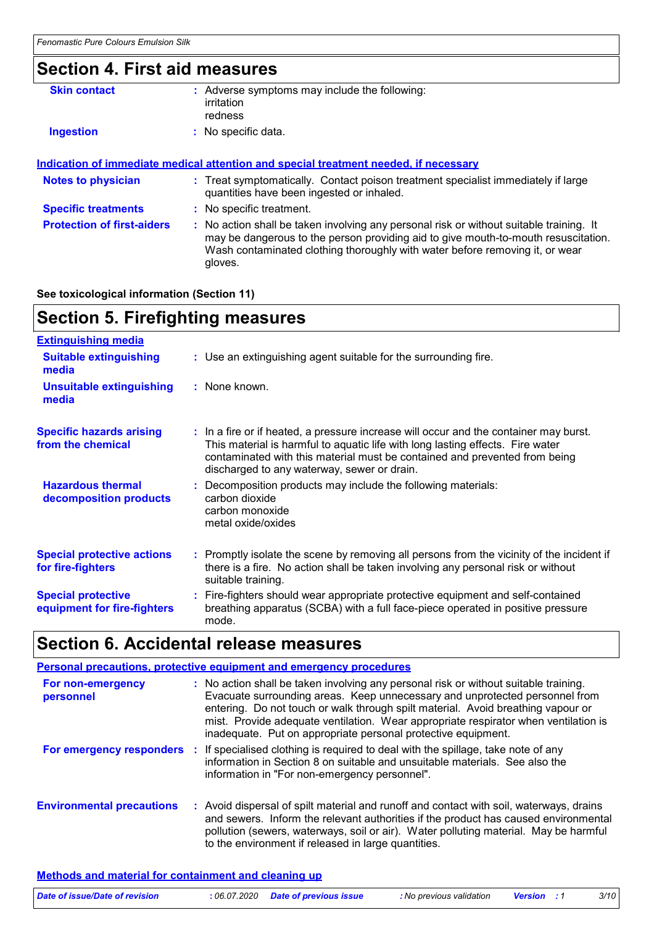## **Section 4. First aid measures**

| : Adverse symptoms may include the following:<br>irritation<br>redness                                                                                                                                                                                                   |
|--------------------------------------------------------------------------------------------------------------------------------------------------------------------------------------------------------------------------------------------------------------------------|
| : No specific data.                                                                                                                                                                                                                                                      |
|                                                                                                                                                                                                                                                                          |
| <u>Indication of immediate medical attention and special treatment needed, if necessary</u>                                                                                                                                                                              |
| : Treat symptomatically. Contact poison treatment specialist immediately if large<br>quantities have been ingested or inhaled.                                                                                                                                           |
| : No specific treatment.                                                                                                                                                                                                                                                 |
| : No action shall be taken involving any personal risk or without suitable training. It<br>may be dangerous to the person providing aid to give mouth-to-mouth resuscitation.<br>Wash contaminated clothing thoroughly with water before removing it, or wear<br>gloves. |
|                                                                                                                                                                                                                                                                          |

#### **See toxicological information (Section 11)**

# **Section 5. Firefighting measures**

| <b>Extinguishing media</b>                               |                                                                                                                                                                                                                                                                                                      |
|----------------------------------------------------------|------------------------------------------------------------------------------------------------------------------------------------------------------------------------------------------------------------------------------------------------------------------------------------------------------|
| <b>Suitable extinguishing</b><br>media                   | : Use an extinguishing agent suitable for the surrounding fire.                                                                                                                                                                                                                                      |
| <b>Unsuitable extinguishing</b><br>media                 | : None known.                                                                                                                                                                                                                                                                                        |
| <b>Specific hazards arising</b><br>from the chemical     | : In a fire or if heated, a pressure increase will occur and the container may burst.<br>This material is harmful to aquatic life with long lasting effects. Fire water<br>contaminated with this material must be contained and prevented from being<br>discharged to any waterway, sewer or drain. |
| <b>Hazardous thermal</b><br>decomposition products       | : Decomposition products may include the following materials:<br>carbon dioxide<br>carbon monoxide<br>metal oxide/oxides                                                                                                                                                                             |
| <b>Special protective actions</b><br>for fire-fighters   | : Promptly isolate the scene by removing all persons from the vicinity of the incident if<br>there is a fire. No action shall be taken involving any personal risk or without<br>suitable training.                                                                                                  |
| <b>Special protective</b><br>equipment for fire-fighters | : Fire-fighters should wear appropriate protective equipment and self-contained<br>breathing apparatus (SCBA) with a full face-piece operated in positive pressure<br>mode.                                                                                                                          |

## **Section 6. Accidental release measures**

|                                  | Personal precautions, protective equipment and emergency procedures                                                                                                                                                                                                                                                                                                                                             |
|----------------------------------|-----------------------------------------------------------------------------------------------------------------------------------------------------------------------------------------------------------------------------------------------------------------------------------------------------------------------------------------------------------------------------------------------------------------|
| For non-emergency<br>personnel   | : No action shall be taken involving any personal risk or without suitable training.<br>Evacuate surrounding areas. Keep unnecessary and unprotected personnel from<br>entering. Do not touch or walk through spilt material. Avoid breathing vapour or<br>mist. Provide adequate ventilation. Wear appropriate respirator when ventilation is<br>inadequate. Put on appropriate personal protective equipment. |
|                                  | For emergency responders : If specialised clothing is required to deal with the spillage, take note of any<br>information in Section 8 on suitable and unsuitable materials. See also the<br>information in "For non-emergency personnel".                                                                                                                                                                      |
| <b>Environmental precautions</b> | : Avoid dispersal of spilt material and runoff and contact with soil, waterways, drains<br>and sewers. Inform the relevant authorities if the product has caused environmental<br>pollution (sewers, waterways, soil or air). Water polluting material. May be harmful<br>to the environment if released in large quantities.                                                                                   |

#### **Methods and material for containment and cleaning up**

| Date of issue/Date of revision | : 06.07.2020 Date of previous issue | : No previous validation | <b>Version</b> : 1 | 3/10 |
|--------------------------------|-------------------------------------|--------------------------|--------------------|------|
|                                |                                     |                          |                    |      |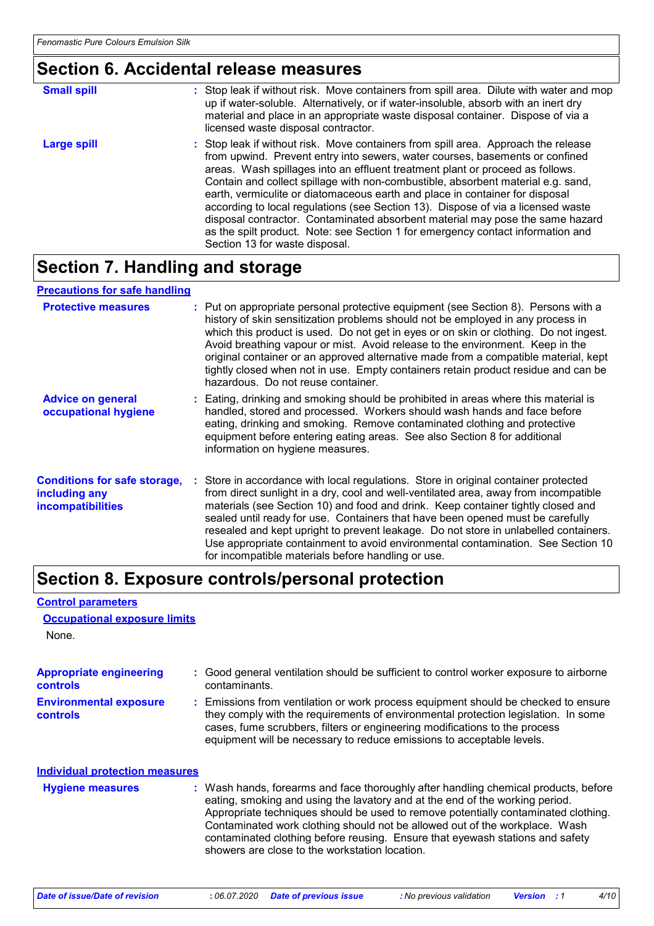### **Section 6. Accidental release measures**

| <b>Small spill</b> | : Stop leak if without risk. Move containers from spill area. Dilute with water and mop<br>up if water-soluble. Alternatively, or if water-insoluble, absorb with an inert dry<br>material and place in an appropriate waste disposal container. Dispose of via a<br>licensed waste disposal contractor.                                                                                                                                                                                                                                                                                                                                                                                                          |
|--------------------|-------------------------------------------------------------------------------------------------------------------------------------------------------------------------------------------------------------------------------------------------------------------------------------------------------------------------------------------------------------------------------------------------------------------------------------------------------------------------------------------------------------------------------------------------------------------------------------------------------------------------------------------------------------------------------------------------------------------|
| <b>Large spill</b> | : Stop leak if without risk. Move containers from spill area. Approach the release<br>from upwind. Prevent entry into sewers, water courses, basements or confined<br>areas. Wash spillages into an effluent treatment plant or proceed as follows.<br>Contain and collect spillage with non-combustible, absorbent material e.g. sand,<br>earth, vermiculite or diatomaceous earth and place in container for disposal<br>according to local regulations (see Section 13). Dispose of via a licensed waste<br>disposal contractor. Contaminated absorbent material may pose the same hazard<br>as the spilt product. Note: see Section 1 for emergency contact information and<br>Section 13 for waste disposal. |

## **Section 7. Handling and storage**

#### **Precautions for safe handling**

| <b>Protective measures</b>                                                       | : Put on appropriate personal protective equipment (see Section 8). Persons with a<br>history of skin sensitization problems should not be employed in any process in<br>which this product is used. Do not get in eyes or on skin or clothing. Do not ingest.<br>Avoid breathing vapour or mist. Avoid release to the environment. Keep in the<br>original container or an approved alternative made from a compatible material, kept<br>tightly closed when not in use. Empty containers retain product residue and can be<br>hazardous. Do not reuse container.                  |
|----------------------------------------------------------------------------------|-------------------------------------------------------------------------------------------------------------------------------------------------------------------------------------------------------------------------------------------------------------------------------------------------------------------------------------------------------------------------------------------------------------------------------------------------------------------------------------------------------------------------------------------------------------------------------------|
| <b>Advice on general</b><br>occupational hygiene                                 | : Eating, drinking and smoking should be prohibited in areas where this material is<br>handled, stored and processed. Workers should wash hands and face before<br>eating, drinking and smoking. Remove contaminated clothing and protective<br>equipment before entering eating areas. See also Section 8 for additional<br>information on hygiene measures.                                                                                                                                                                                                                       |
| <b>Conditions for safe storage,</b><br>including any<br><i>incompatibilities</i> | : Store in accordance with local regulations. Store in original container protected<br>from direct sunlight in a dry, cool and well-ventilated area, away from incompatible<br>materials (see Section 10) and food and drink. Keep container tightly closed and<br>sealed until ready for use. Containers that have been opened must be carefully<br>resealed and kept upright to prevent leakage. Do not store in unlabelled containers.<br>Use appropriate containment to avoid environmental contamination. See Section 10<br>for incompatible materials before handling or use. |

### **Section 8. Exposure controls/personal protection**

#### None. **Environmental exposure controls :** Emissions from ventilation or work process equipment should be checked to ensure they comply with the requirements of environmental protection legislation. In some cases, fume scrubbers, filters or engineering modifications to the process equipment will be necessary to reduce emissions to acceptable levels. **Appropriate engineering controls :** Good general ventilation should be sufficient to control worker exposure to airborne contaminants. Wash hands, forearms and face thoroughly after handling chemical products, before eating, smoking and using the lavatory and at the end of the working period. Appropriate techniques should be used to remove potentially contaminated clothing. Contaminated work clothing should not be allowed out of the workplace. Wash contaminated clothing before reusing. Ensure that eyewash stations and safety showers are close to the workstation location. **Hygiene measures : Individual protection measures Occupational exposure limits**

**Control parameters**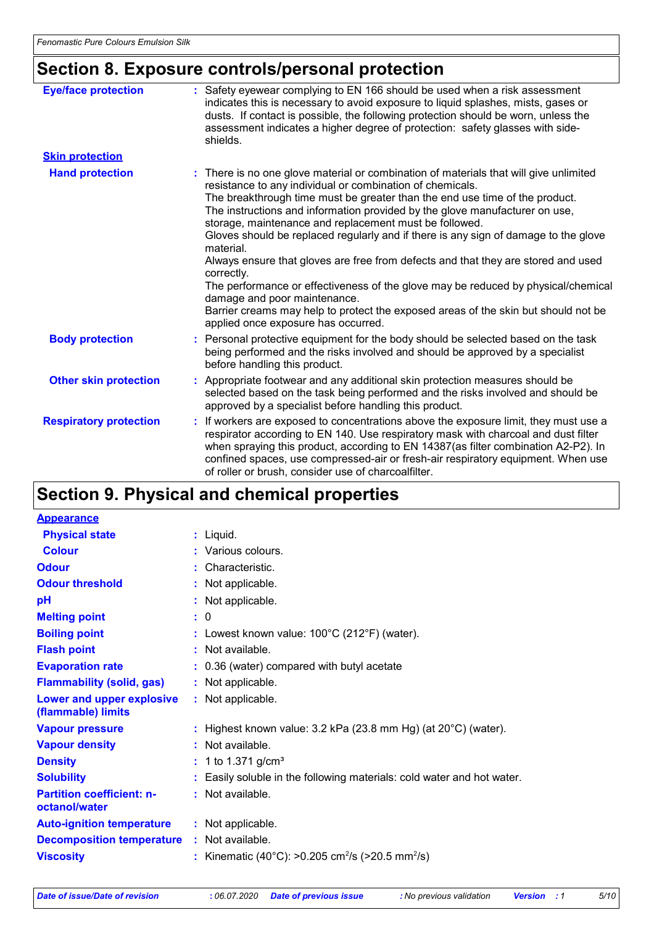# **Section 8. Exposure controls/personal protection**

| <b>Eye/face protection</b>    | : Safety eyewear complying to EN 166 should be used when a risk assessment<br>indicates this is necessary to avoid exposure to liquid splashes, mists, gases or<br>dusts. If contact is possible, the following protection should be worn, unless the<br>assessment indicates a higher degree of protection: safety glasses with side-<br>shields.                                                                                                                                                                                                                                                                                                                                                                                                                                                                                  |
|-------------------------------|-------------------------------------------------------------------------------------------------------------------------------------------------------------------------------------------------------------------------------------------------------------------------------------------------------------------------------------------------------------------------------------------------------------------------------------------------------------------------------------------------------------------------------------------------------------------------------------------------------------------------------------------------------------------------------------------------------------------------------------------------------------------------------------------------------------------------------------|
| <b>Skin protection</b>        |                                                                                                                                                                                                                                                                                                                                                                                                                                                                                                                                                                                                                                                                                                                                                                                                                                     |
| <b>Hand protection</b>        | : There is no one glove material or combination of materials that will give unlimited<br>resistance to any individual or combination of chemicals.<br>The breakthrough time must be greater than the end use time of the product.<br>The instructions and information provided by the glove manufacturer on use,<br>storage, maintenance and replacement must be followed.<br>Gloves should be replaced regularly and if there is any sign of damage to the glove<br>material.<br>Always ensure that gloves are free from defects and that they are stored and used<br>correctly.<br>The performance or effectiveness of the glove may be reduced by physical/chemical<br>damage and poor maintenance.<br>Barrier creams may help to protect the exposed areas of the skin but should not be<br>applied once exposure has occurred. |
| <b>Body protection</b>        | Personal protective equipment for the body should be selected based on the task<br>being performed and the risks involved and should be approved by a specialist<br>before handling this product.                                                                                                                                                                                                                                                                                                                                                                                                                                                                                                                                                                                                                                   |
| <b>Other skin protection</b>  | Appropriate footwear and any additional skin protection measures should be<br>selected based on the task being performed and the risks involved and should be<br>approved by a specialist before handling this product.                                                                                                                                                                                                                                                                                                                                                                                                                                                                                                                                                                                                             |
| <b>Respiratory protection</b> | If workers are exposed to concentrations above the exposure limit, they must use a<br>÷.<br>respirator according to EN 140. Use respiratory mask with charcoal and dust filter<br>when spraying this product, according to EN 14387(as filter combination A2-P2). In<br>confined spaces, use compressed-air or fresh-air respiratory equipment. When use<br>of roller or brush, consider use of charcoalfilter.                                                                                                                                                                                                                                                                                                                                                                                                                     |

## **Section 9. Physical and chemical properties**

| <b>Appearance</b>                                 |                                                                            |
|---------------------------------------------------|----------------------------------------------------------------------------|
| <b>Physical state</b>                             | $:$ Liquid.                                                                |
| <b>Colour</b>                                     | : Various colours.                                                         |
| <b>Odour</b>                                      | : Characteristic.                                                          |
| <b>Odour threshold</b>                            | : Not applicable.                                                          |
| pH                                                | : Not applicable.                                                          |
| <b>Melting point</b>                              | : 0                                                                        |
| <b>Boiling point</b>                              | : Lowest known value: $100^{\circ}$ C (212 $^{\circ}$ F) (water).          |
| <b>Flash point</b>                                | : Not available.                                                           |
| <b>Evaporation rate</b>                           | : 0.36 (water) compared with butyl acetate                                 |
| <b>Flammability (solid, gas)</b>                  | : Not applicable.                                                          |
| Lower and upper explosive<br>(flammable) limits   | : Not applicable.                                                          |
| <b>Vapour pressure</b>                            | : Highest known value: $3.2$ kPa (23.8 mm Hg) (at $20^{\circ}$ C) (water). |
| <b>Vapour density</b>                             | : Not available.                                                           |
| <b>Density</b>                                    | : 1 to 1.371 g/cm <sup>3</sup>                                             |
| <b>Solubility</b>                                 | Easily soluble in the following materials: cold water and hot water.       |
| <b>Partition coefficient: n-</b><br>octanol/water | : Not available.                                                           |
| <b>Auto-ignition temperature</b>                  | : Not applicable.                                                          |
| <b>Decomposition temperature</b>                  | : Not available.                                                           |
| <b>Viscosity</b>                                  | : Kinematic (40°C): >0.205 cm <sup>2</sup> /s (>20.5 mm <sup>2</sup> /s)   |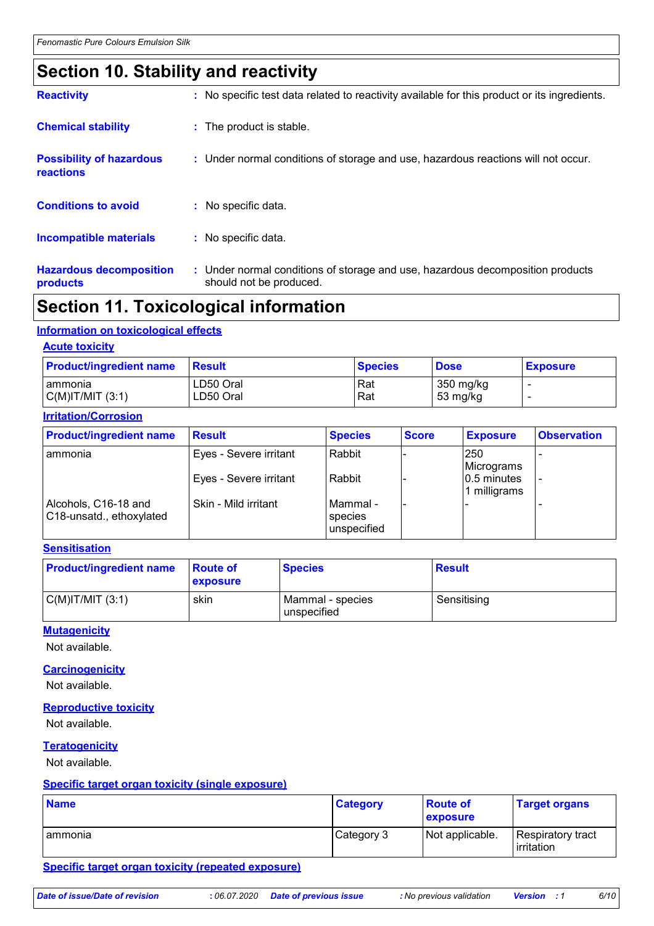## **Section 10. Stability and reactivity**

| <b>Reactivity</b>                            | : No specific test data related to reactivity available for this product or its ingredients.              |
|----------------------------------------------|-----------------------------------------------------------------------------------------------------------|
| <b>Chemical stability</b>                    | : The product is stable.                                                                                  |
| <b>Possibility of hazardous</b><br>reactions | : Under normal conditions of storage and use, hazardous reactions will not occur.                         |
| <b>Conditions to avoid</b>                   | : No specific data.                                                                                       |
| <b>Incompatible materials</b>                | : No specific data.                                                                                       |
| <b>Hazardous decomposition</b><br>products   | : Under normal conditions of storage and use, hazardous decomposition products<br>should not be produced. |

### **Section 11. Toxicological information**

#### **Information on toxicological effects**

#### **Acute toxicity**

| <b>Product/ingredient name</b> | <b>Result</b> | ∣Species | <b>Dose</b> | <b>Exposure</b> |
|--------------------------------|---------------|----------|-------------|-----------------|
| I ammonia                      | LD50 Oral     | Rat      | 350 mg/kg   |                 |
| $C(M)$ IT/MIT $(3:1)$          | LD50 Oral     | Rat      | 53 mg/kg    |                 |

#### **Irritation/Corrosion**

| <b>Product/ingredient name</b>                   | <b>Result</b>          | <b>Species</b>                       | <b>Score</b> | <b>Exposure</b>                | <b>Observation</b> |
|--------------------------------------------------|------------------------|--------------------------------------|--------------|--------------------------------|--------------------|
| l ammonia                                        | Eyes - Severe irritant | Rabbit                               |              | 250<br>Micrograms              |                    |
|                                                  | Eyes - Severe irritant | Rabbit                               |              | $ 0.5$ minutes<br>1 milligrams |                    |
| Alcohols, C16-18 and<br>C18-unsatd., ethoxylated | Skin - Mild irritant   | l Mammal -<br>species<br>unspecified |              |                                |                    |

#### **Sensitisation**

| <b>Product/ingredient name</b> | <b>Route of</b><br><b>exposure</b> | <b>Species</b>                  | <b>Result</b> |
|--------------------------------|------------------------------------|---------------------------------|---------------|
| C(M) T/MIT (3:1)               | skin                               | Mammal - species<br>unspecified | Sensitising   |

#### **Mutagenicity**

Not available.

#### **Carcinogenicity**

Not available.

#### **Reproductive toxicity**

Not available.

#### **Teratogenicity**

Not available.

#### **Specific target organ toxicity (single exposure)**

| <b>Name</b> | <b>Category</b> | <b>Route of</b><br>exposure | <b>Target organs</b>            |
|-------------|-----------------|-----------------------------|---------------------------------|
| Tammonia    | Category 3      | Not applicable.             | Respiratory tract<br>irritation |

#### **Specific target organ toxicity (repeated exposure)**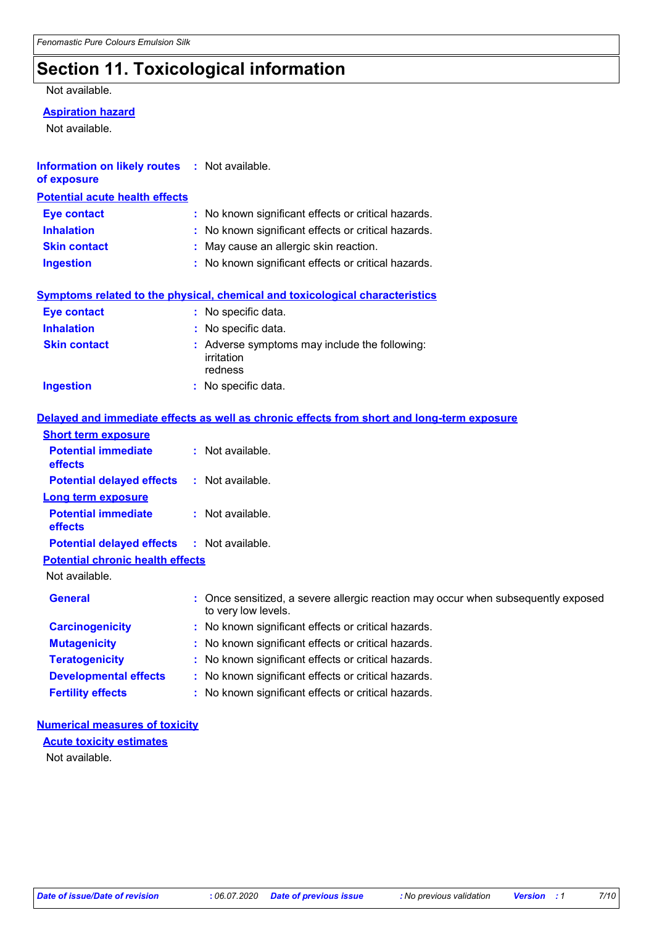## **Section 11. Toxicological information**

#### Not available.

#### **Aspiration hazard**

Not available.

| <b>Information on likely routes : Not available.</b><br>of exposure |                                                                                            |  |  |
|---------------------------------------------------------------------|--------------------------------------------------------------------------------------------|--|--|
| <b>Potential acute health effects</b>                               |                                                                                            |  |  |
| <b>Eye contact</b>                                                  | : No known significant effects or critical hazards.                                        |  |  |
| <b>Inhalation</b>                                                   | No known significant effects or critical hazards.                                          |  |  |
| <b>Skin contact</b>                                                 | May cause an allergic skin reaction.                                                       |  |  |
| <b>Ingestion</b>                                                    | : No known significant effects or critical hazards.                                        |  |  |
|                                                                     | <b>Symptoms related to the physical, chemical and toxicological characteristics</b>        |  |  |
| <b>Eye contact</b>                                                  | : No specific data.                                                                        |  |  |
| <b>Inhalation</b>                                                   | $:$ No specific data.                                                                      |  |  |
| <b>Skin contact</b>                                                 | Adverse symptoms may include the following:<br>irritation<br>redness                       |  |  |
| <b>Ingestion</b>                                                    | : No specific data.                                                                        |  |  |
|                                                                     | Delayed and immediate effects as well as chronic effects from short and long-term exposure |  |  |
| <b>Short term exposure</b>                                          |                                                                                            |  |  |
| <b>Potential immediate</b><br>effects                               | : Not available.                                                                           |  |  |
| <b>Potential delayed effects</b>                                    | : Not available.                                                                           |  |  |
| <b>Long term exposure</b>                                           |                                                                                            |  |  |
| <b>Potential immediate</b><br>effects                               | : Not available.                                                                           |  |  |
| <b>Potential delayed effects</b>                                    | : Not available.                                                                           |  |  |

**Potential chronic health effects**

Not available.

| <b>General</b>               | : Once sensitized, a severe allergic reaction may occur when subsequently exposed<br>to very low levels. |
|------------------------------|----------------------------------------------------------------------------------------------------------|
| <b>Carcinogenicity</b>       | : No known significant effects or critical hazards.                                                      |
| <b>Mutagenicity</b>          | : No known significant effects or critical hazards.                                                      |
| <b>Teratogenicity</b>        | : No known significant effects or critical hazards.                                                      |
| <b>Developmental effects</b> | : No known significant effects or critical hazards.                                                      |
| <b>Fertility effects</b>     | : No known significant effects or critical hazards.                                                      |

#### **Numerical measures of toxicity**

**Acute toxicity estimates**

Not available.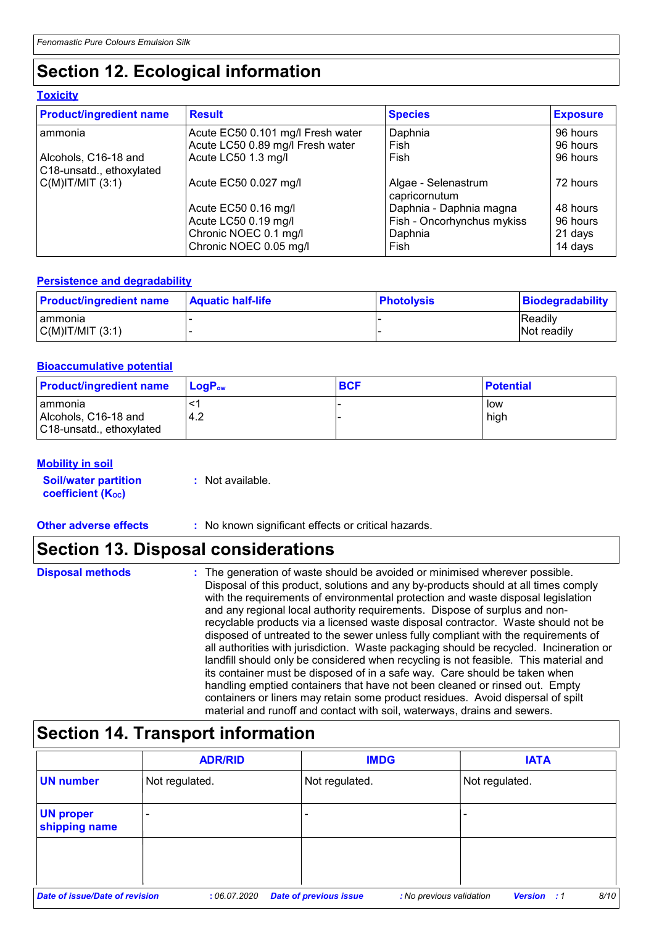## **Section 12. Ecological information**

#### **Toxicity**

| <b>Product/ingredient name</b>                   | <b>Result</b>                     | <b>Species</b>                       | <b>Exposure</b> |
|--------------------------------------------------|-----------------------------------|--------------------------------------|-----------------|
| l ammonia                                        | Acute EC50 0.101 mg/l Fresh water | Daphnia                              | 96 hours        |
|                                                  | Acute LC50 0.89 mg/l Fresh water  | Fish                                 | 96 hours        |
| Alcohols, C16-18 and<br>C18-unsatd., ethoxylated | Acute LC50 1.3 mg/l               | Fish                                 | 96 hours        |
| $C(M)$ IT/MIT $(3:1)$                            | Acute EC50 0.027 mg/l             | Algae - Selenastrum<br>capricornutum | 72 hours        |
|                                                  | Acute EC50 0.16 mg/l              | Daphnia - Daphnia magna              | 48 hours        |
|                                                  | Acute LC50 0.19 mg/l              | Fish - Oncorhynchus mykiss           | 96 hours        |
|                                                  | Chronic NOEC 0.1 mg/l             | Daphnia                              | 21 days         |
|                                                  | Chronic NOEC 0.05 mg/l            | Fish                                 | 14 days         |

#### **Persistence and degradability**

| <b>Product/ingredient name</b> | <b>Aquatic half-life</b> | <b>∣Photolysis</b> | <b>Biodegradability</b> |
|--------------------------------|--------------------------|--------------------|-------------------------|
| Tammonia                       |                          |                    | <b>Readily</b>          |
| C(M) T/MIT (3:1)               |                          |                    | <b>Not readily</b>      |

#### **Bioaccumulative potential**

| <b>Product/ingredient name</b>                                | $\mathsf{LogP}_\mathsf{ow}$ | <b>BCF</b> | <b>Potential</b> |
|---------------------------------------------------------------|-----------------------------|------------|------------------|
| I ammonia<br>Alcohols, C16-18 and<br>C18-unsatd., ethoxylated | 4.2                         |            | low<br>high      |

#### **Mobility in soil**

| <b>Soil/water partition</b> | : Not available. |
|-----------------------------|------------------|
| <b>coefficient (Koc)</b>    |                  |

**Other adverse effects** : No known significant effects or critical hazards.

### **Section 13. Disposal considerations**

### **Section 14. Transport information**

|                                   | <b>ADR/RID</b> |                               | <b>IMDG</b>              | <b>IATA</b>             |      |
|-----------------------------------|----------------|-------------------------------|--------------------------|-------------------------|------|
| <b>UN number</b>                  | Not regulated. | Not regulated.                |                          | Not regulated.          |      |
| <b>UN proper</b><br>shipping name | ٠              |                               |                          |                         |      |
|                                   |                |                               |                          |                         |      |
| Date of issue/Date of revision    | :06.07.2020    | <b>Date of previous issue</b> | : No previous validation | <b>Version</b><br>. . 1 | 8/10 |

**Disposal methods :**

The generation of waste should be avoided or minimised wherever possible. Disposal of this product, solutions and any by-products should at all times comply with the requirements of environmental protection and waste disposal legislation and any regional local authority requirements. Dispose of surplus and nonrecyclable products via a licensed waste disposal contractor. Waste should not be disposed of untreated to the sewer unless fully compliant with the requirements of all authorities with jurisdiction. Waste packaging should be recycled. Incineration or landfill should only be considered when recycling is not feasible. This material and its container must be disposed of in a safe way. Care should be taken when handling emptied containers that have not been cleaned or rinsed out. Empty containers or liners may retain some product residues. Avoid dispersal of spilt material and runoff and contact with soil, waterways, drains and sewers.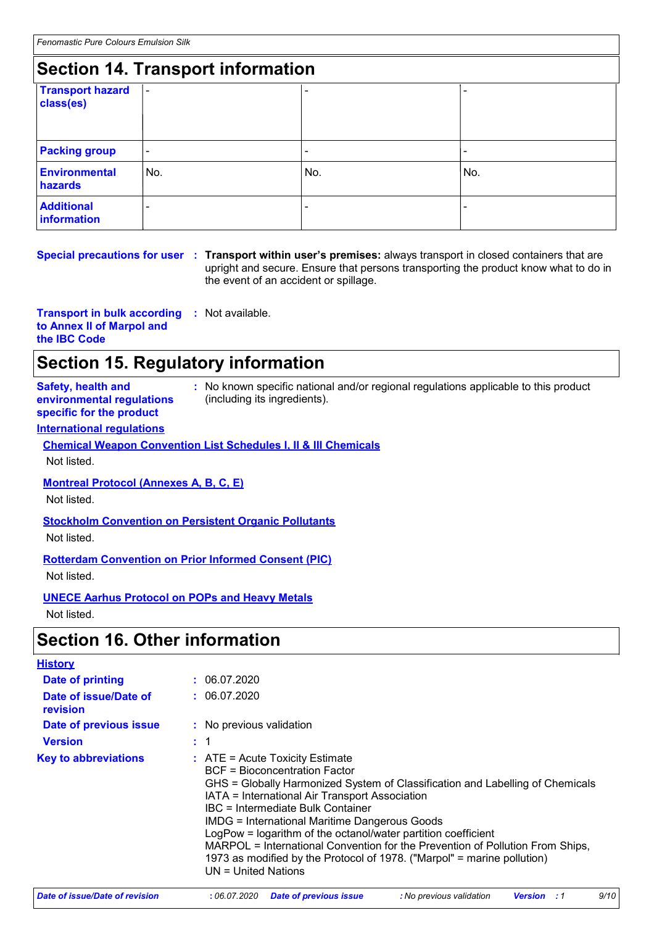## **Section 14. Transport information**

| <u>sooman in handbarthinginaman.</u> |                          |                |     |  |  |  |
|--------------------------------------|--------------------------|----------------|-----|--|--|--|
| <b>Transport hazard</b><br>class(es) | $\overline{\phantom{a}}$ |                |     |  |  |  |
| <b>Packing group</b>                 | $\blacksquare$           | $\overline{a}$ |     |  |  |  |
| <b>Environmental</b><br>hazards      | No.                      | No.            | No. |  |  |  |
| <b>Additional</b><br>information     |                          |                |     |  |  |  |

#### **Special precautions for user Transport within user's premises:** always transport in closed containers that are **:** upright and secure. Ensure that persons transporting the product know what to do in the event of an accident or spillage.

**Transport in bulk according :** Not available. **to Annex II of Marpol and the IBC Code**

## **Section 15. Regulatory information**

**Safety, health and environmental regulations specific for the product**

**:** No known specific national and/or regional regulations applicable to this product (including its ingredients).

#### **International regulations**

**Chemical Weapon Convention List Schedules I, II & III Chemicals** Not listed.

#### **Montreal Protocol (Annexes A, B, C, E)**

Not listed.

#### **Stockholm Convention on Persistent Organic Pollutants**

Not listed.

#### **Rotterdam Convention on Prior Informed Consent (PIC)**

Not listed.

### **UNECE Aarhus Protocol on POPs and Heavy Metals**

Not listed.

### **Section 16. Other information**

| <b>History</b>                    |                                                                                                                                                                                                                                                                                                                                                                                                                                                                                                                                                                                 |
|-----------------------------------|---------------------------------------------------------------------------------------------------------------------------------------------------------------------------------------------------------------------------------------------------------------------------------------------------------------------------------------------------------------------------------------------------------------------------------------------------------------------------------------------------------------------------------------------------------------------------------|
| Date of printing                  | : 06.07.2020                                                                                                                                                                                                                                                                                                                                                                                                                                                                                                                                                                    |
| Date of issue/Date of<br>revision | : 06.07.2020                                                                                                                                                                                                                                                                                                                                                                                                                                                                                                                                                                    |
| Date of previous issue            | : No previous validation                                                                                                                                                                                                                                                                                                                                                                                                                                                                                                                                                        |
| <b>Version</b>                    |                                                                                                                                                                                                                                                                                                                                                                                                                                                                                                                                                                                 |
| <b>Key to abbreviations</b>       | $\therefore$ ATE = Acute Toxicity Estimate<br><b>BCF = Bioconcentration Factor</b><br>GHS = Globally Harmonized System of Classification and Labelling of Chemicals<br>IATA = International Air Transport Association<br><b>IBC</b> = Intermediate Bulk Container<br><b>IMDG = International Maritime Dangerous Goods</b><br>LogPow = logarithm of the octanol/water partition coefficient<br>MARPOL = International Convention for the Prevention of Pollution From Ships,<br>1973 as modified by the Protocol of 1978. ("Marpol" = marine pollution)<br>$UN = United Nations$ |

| Date of issue/Date of revision | : 06.07.2020 Date of previous issue | : No previous validation | <b>Version</b> : 1 |  |
|--------------------------------|-------------------------------------|--------------------------|--------------------|--|
|--------------------------------|-------------------------------------|--------------------------|--------------------|--|